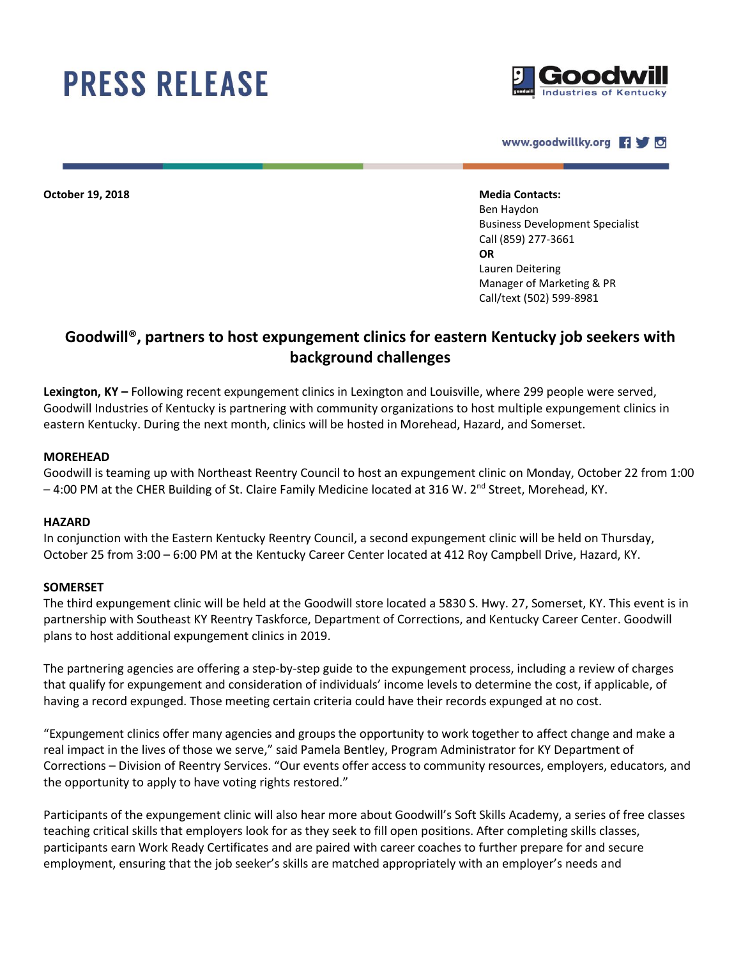# **PRESS RELEASE**



www.goodwillky.org **49** 

**October 19, 2018 Media Contacts:**

Ben Haydon Business Development Specialist Call (859) 277-3661 **OR**  Lauren Deitering Manager of Marketing & PR Call/text (502) 599-8981

## **Goodwill®, partners to host expungement clinics for eastern Kentucky job seekers with background challenges**

**Lexington, KY –** Following recent expungement clinics in Lexington and Louisville, where 299 people were served, Goodwill Industries of Kentucky is partnering with community organizations to host multiple expungement clinics in eastern Kentucky. During the next month, clinics will be hosted in Morehead, Hazard, and Somerset.

#### **MOREHEAD**

Goodwill is teaming up with Northeast Reentry Council to host an expungement clinic on Monday, October 22 from 1:00  $-4:00$  PM at the CHER Building of St. Claire Family Medicine located at 316 W. 2<sup>nd</sup> Street, Morehead, KY.

#### **HAZARD**

In conjunction with the Eastern Kentucky Reentry Council, a second expungement clinic will be held on Thursday, October 25 from 3:00 – 6:00 PM at the Kentucky Career Center located at 412 Roy Campbell Drive, Hazard, KY.

#### **SOMERSET**

The third expungement clinic will be held at the Goodwill store located a 5830 S. Hwy. 27, Somerset, KY. This event is in partnership with Southeast KY Reentry Taskforce, Department of Corrections, and Kentucky Career Center. Goodwill plans to host additional expungement clinics in 2019.

The partnering agencies are offering a step-by-step guide to the expungement process, including a review of charges that qualify for expungement and consideration of individuals' income levels to determine the cost, if applicable, of having a record expunged. Those meeting certain criteria could have their records expunged at no cost.

"Expungement clinics offer many agencies and groups the opportunity to work together to affect change and make a real impact in the lives of those we serve," said Pamela Bentley, Program Administrator for KY Department of Corrections – Division of Reentry Services. "Our events offer access to community resources, employers, educators, and the opportunity to apply to have voting rights restored."

Participants of the expungement clinic will also hear more about Goodwill's Soft Skills Academy, a series of free classes teaching critical skills that employers look for as they seek to fill open positions. After completing skills classes, participants earn Work Ready Certificates and are paired with career coaches to further prepare for and secure employment, ensuring that the job seeker's skills are matched appropriately with an employer's needs and